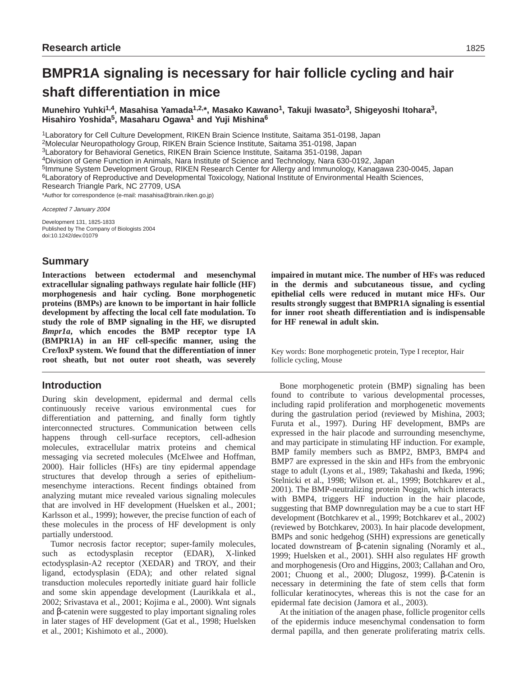# **BMPR1A signaling is necessary for hair follicle cycling and hair shaft differentiation in mice**

**Munehiro Yuhki1,4, Masahisa Yamada1,2,\*, Masako Kawano1, Takuji Iwasato3, Shigeyoshi Itohara3, Hisahiro Yoshida5, Masaharu Ogawa1 and Yuji Mishina6**

1Laboratory for Cell Culture Development, RIKEN Brain Science Institute, Saitama 351-0198, Japan

2Molecular Neuropathology Group, RIKEN Brain Science Institute, Saitama 351-0198, Japan

3Laboratory for Behavioral Genetics, RIKEN Brain Science Institute, Saitama 351-0198, Japan

4Division of Gene Function in Animals, Nara Institute of Science and Technology, Nara 630-0192, Japan

5Immune System Development Group, RIKEN Research Center for Allergy and Immunology, Kanagawa 230-0045, Japan

6Laboratory of Reproductive and Developmental Toxicology, National Institute of Environmental Health Sciences,

Research Triangle Park, NC 27709, USA

\*Author for correspondence (e-mail: masahisa@brain.riken.go.jp)

Accepted 7 January 2004

Development 131, 1825-1833 Published by The Company of Biologists 2004 doi:10.1242/dev.01079

# **Summary**

**Interactions between ectodermal and mesenchymal extracellular signaling pathways regulate hair follicle (HF) morphogenesis and hair cycling. Bone morphogenetic proteins (BMPs) are known to be important in hair follicle development by affecting the local cell fate modulation. To study the role of BMP signaling in the HF, we disrupted** *Bmpr1a***, which encodes the BMP receptor type IA (BMPR1A) in an HF cell-specific manner, using the Cre/loxP system. We found that the differentiation of inner root sheath, but not outer root sheath, was severely**

# **Introduction**

During skin development, epidermal and dermal cells continuously receive various environmental cues for differentiation and patterning, and finally form tightly interconnected structures. Communication between cells happens through cell-surface receptors, cell-adhesion molecules, extracellular matrix proteins and chemical messaging via secreted molecules (McElwee and Hoffman, 2000). Hair follicles (HFs) are tiny epidermal appendage structures that develop through a series of epitheliummesenchyme interactions. Recent findings obtained from analyzing mutant mice revealed various signaling molecules that are involved in HF development (Huelsken et al., 2001; Karlsson et al., 1999); however, the precise function of each of these molecules in the process of HF development is only partially understood.

Tumor necrosis factor receptor; super-family molecules, such as ectodysplasin receptor (EDAR), X-linked ectodysplasin-A2 receptor (XEDAR) and TROY, and their ligand, ectodysplasin (EDA); and other related signal transduction molecules reportedly initiate guard hair follicle and some skin appendage development (Laurikkala et al., 2002; Srivastava et al., 2001; Kojima e al., 2000). Wnt signals and β-catenin were suggested to play important signaling roles in later stages of HF development (Gat et al., 1998; Huelsken et al., 2001; Kishimoto et al., 2000).

**impaired in mutant mice. The number of HFs was reduced in the dermis and subcutaneous tissue, and cycling epithelial cells were reduced in mutant mice HFs. Our results strongly suggest that BMPR1A signaling is essential for inner root sheath differentiation and is indispensable for HF renewal in adult skin.**

Key words: Bone morphogenetic protein, Type I receptor, Hair follicle cycling, Mouse

Bone morphogenetic protein (BMP) signaling has been found to contribute to various developmental processes, including rapid proliferation and morphogenetic movements during the gastrulation period (reviewed by Mishina, 2003; Furuta et al., 1997). During HF development, BMPs are expressed in the hair placode and surrounding mesenchyme, and may participate in stimulating HF induction. For example, BMP family members such as BMP2, BMP3, BMP4 and BMP7 are expressed in the skin and HFs from the embryonic stage to adult (Lyons et al., 1989; Takahashi and Ikeda, 1996; Stelnicki et al., 1998; Wilson et. al., 1999; Botchkarev et al., 2001). The BMP-neutralizing protein Noggin, which interacts with BMP4, triggers HF induction in the hair placode, suggesting that BMP downregulation may be a cue to start HF development (Botchkarev et al., 1999; Botchkarev et al., 2002) (reviewed by Botchkarev, 2003). In hair placode development, BMPs and sonic hedgehog (SHH) expressions are genetically located downstream of β-catenin signaling (Noramly et al., 1999; Huelsken et al., 2001). SHH also regulates HF growth and morphogenesis (Oro and Higgins, 2003; Callahan and Oro, 2001; Chuong et al., 2000; Dlugosz, 1999). β-Catenin is necessary in determining the fate of stem cells that form follicular keratinocytes, whereas this is not the case for an epidermal fate decision (Jamora et al., 2003).

At the initiation of the anagen phase, follicle progenitor cells of the epidermis induce mesenchymal condensation to form dermal papilla, and then generate proliferating matrix cells.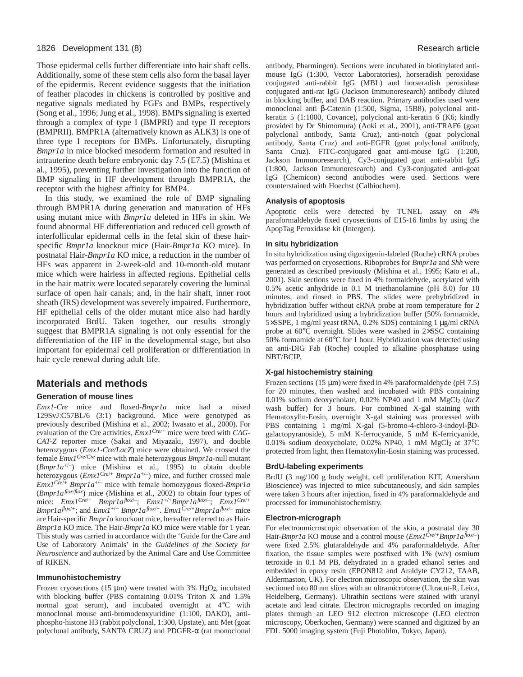### 1826 Development 131 (8) Research article

Those epidermal cells further differentiate into hair shaft cells. Additionally, some of these stem cells also form the basal layer of the epidermis. Recent evidence suggests that the initiation of feather placodes in chickens is controlled by positive and negative signals mediated by FGFs and BMPs, respectively (Song et al., 1996; Jung et al., 1998). BMPs signaling is exerted through a complex of type I (BMPRI) and type II receptors (BMPRII). BMPR1A (alternatively known as ALK3) is one of three type I receptors for BMPs. Unfortunately, disrupting *Bmpr1a* in mice blocked mesoderm formation and resulted in intrauterine death before embryonic day 7.5 (E7.5) (Mishina et al., 1995), preventing further investigation into the function of BMP signaling in HF development through BMPR1A, the receptor with the highest affinity for BMP4.

In this study, we examined the role of BMP signaling through BMPR1A during generation and maturation of HFs using mutant mice with *Bmpr1a* deleted in HFs in skin. We found abnormal HF differentiation and reduced cell growth of interfollicular epidermal cells in the fetal skin of these hairspecific *Bmpr1a* knockout mice (Hair-*Bmpr1a* KO mice). In postnatal Hair-*Bmpr1a* KO mice, a reduction in the number of HFs was apparent in 2-week-old and 10-month-old mutant mice which were hairless in affected regions. Epithelial cells in the hair matrix were located separately covering the luminal surface of open hair canals; and, in the hair shaft, inner root sheath (IRS) development was severely impaired. Furthermore, HF epithelial cells of the older mutant mice also had hardly incorporated BrdU. Taken together, our results strongly suggest that BMPR1A signaling is not only essential for the differentiation of the HF in the developmental stage, but also important for epidermal cell proliferation or differentiation in hair cycle renewal during adult life.

# **Materials and methods**

#### **Generation of mouse lines**

*Emx1-Cre* mice and floxed*-Bmpr1a* mice had a mixed 129SvJ:C57BL/6 (3:1) background. Mice were genotyped as previously described (Mishina et al., 2002; Iwasato et al., 2000). For evaluation of the Cre activities, *Emx1Cre/+* mice were bred with *CAG-CAT-Z* reporter mice (Sakai and Miyazaki, 1997), and double heterozygous (*Emx1-Cre/LacZ*) mice were obtained. We crossed the female *Emx1Cre/Cre* mice with male heterozygous *Bmpr1a*-null mutant  $(Bmpr1a^{+/-})$  mice (Mishina et al., 1995) to obtain double heterozygous (*Emx1Cre*/+ *Bmpr1a*+/–) mice, and further crossed male *Emx1Cre*/+ *Bmpr1a*+/– mice with female homozygous floxed-*Bmpr1a* (*Bmpr1aflox/flox*) mice (Mishina et al., 2002) to obtain four types of mice: *Emx1Cre*/+ *Bmpr1aflox*/–; *Emx1*+/+*Bmpr1aflox*/–; *Emx1Cre*/+ *Bmpr1a*<sup>*flox*/+</sup>; and *Emx1*<sup>+/+</sup> *Bmpr1a*<sup>*flox*/+</sup>. *Emx1*<sup>Cre/+</sup>*Bmpr1a*<sup>*flox*/-</sup> mice are Hair-specific *Bmpr1a* knockout mice, hereafter referred to as Hair-*Bmpr1a* KO mice. The Hair-*Bmpr1a* KO mice were viable for 1 year. This study was carried in accordance with the 'Guide for the Care and Use of Laboratory Animals' in the *Guidelines of the Society for Neuroscience* and authorized by the Animal Care and Use Committee of RIKEN.

#### **Immunohistochemistry**

Frozen cryosections (15  $\mu$ m) were treated with 3% H<sub>2</sub>O<sub>2</sub>, incubated with blocking buffer (PBS containing 0.01% Triton X and 1.5% normal goat serum), and incubated overnight at 4°C with monoclonal mouse anti-bromodeoxyuridine (1:100, DAKO), antiphospho-histone H3 (rabbit polyclonal, 1:300, Upstate), anti Met (goat polyclonal antibody, SANTA CRUZ) and PDGFR-α (rat monoclonal

antibody, Pharmingen). Sections were incubated in biotinylated antimouse IgG (1:300, Vector Laboratories), horseradish peroxidase conjugated anti-rabbit IgG (MBL) and horseradish peroxidase conjugated anti-rat IgG (Jackson Immunoresearch) antibody diluted in blocking buffer, and DAB reaction. Primary antibodies used were monoclonal anti β-Catenin (1:500, Sigma, 15B8), polyclonal antikeratin 5 (1:1000, Covance), polyclonal anti-keratin 6 (K6; kindly provided by Dr Shimomura) (Aoki et al., 2001), anti-TRAF6 (goat polyclonal antibody, Santa Cruz), anti-notch (goat polyclonal antibody, Santa Cruz) and anti-EGFR (goat polyclonal antibody, Santa Cruz). FITC-conjugated goat anti-mouse IgG (1:200, Jackson Immunoresearch), Cy3-conjugated goat anti-rabbit IgG (1:800, Jackson Immunoresearch) and Cy3-conjugated anti-goat IgG (Chemicon) second antibodies were used. Sections were counterstained with Hoechst (Calbiochem).

#### **Analysis of apoptosis**

Apoptotic cells were detected by TUNEL assay on 4% paraformaldehyde fixed cryosections of E15-16 limbs by using the ApopTag Peroxidase kit (Intergen).

#### **In situ hybridization**

In situ hybridization using digoxigenin-labeled (Roche) cRNA probes was performed on cryosections. Riboprobes for *Bmpr1a* and *Shh* were generated as described previously (Mishina et al., 1995; Kato et al., 2001). Skin sections were fixed in 4% formaldehyde, acetylated with 0.5% acetic anhydride in 0.1 M triethanolamine (pH 8.0) for 10 minutes, and rinsed in PBS. The slides were prehybridized in hybridization buffer without cRNA probe at room temperature for 2 hours and hybridized using a hybridization buffer (50% formamide, 5×SSPE, 1 mg/ml yeast tRNA, 0.2% SDS) containing 1 µg/ml cRNA probe at 60°C overnight. Slides were washed in 2×SSC containing 50% formamide at 60°C for 1 hour. Hybridization was detected using an anti-DIG Fab (Roche) coupled to alkaline phosphatase using NBT/BCIP.

## **X-gal histochemistry staining**

Frozen sections (15 µm) were fixed in 4% paraformaldehyde (pH 7.5) for 20 minutes, then washed and incubated with PBS containing 0.01% sodium deoxycholate, 0.02% NP40 and 1 mM MgCl2 (*lacZ* wash buffer) for 3 hours. For combined X-gal staining with Hematoxylin-Eosin, overnight X-gal staining was processed with PBS containing 1 mg/ml X-gal (5-bromo-4-chloro-3-indoyl-βDgalactopyranoside), 5 mM K-ferrocyanide, 5 mM K-ferricyanide, 0.01% sodium deoxycholate, 0.02% NP40, 1 mM MgCl2 at 37°C protected from light, then Hematoxylin-Eosin staining was processed.

#### **BrdU-labeling experiments**

BrdU (3 mg/100 g body weight, cell proliferation KIT, Amersham Bioscience) was injected to mice subcutaneously, and skin samples were taken 3 hours after injection, fixed in 4% paraformaldehyde and processed for immunohistochemistry.

#### **Electron-micrograph**

For electronmicroscopic observation of the skin, a postnatal day 30 Hair-*Bmpr1a* KO mouse and a control mouse (*Emx1Cre/+Bmpr1aflox/–*) were fixed 2.5% glutaraldehyde and 4% paraformaldehyde. After fixation, the tissue samples were postfixed with 1% (w/v) osmium tetroxide in 0.1 M PB, dehydrated in a graded ethanol series and embedded in epoxy resin (EPON812 and Araldyte CY212, TAAB, Aldermaston, UK). For electron microscopic observation, the skin was sectioned into 80 nm slices with an ultramicrotome (Ultracut-R, Leica, Heidelberg, Germany). Ultrathin sections were stained with uranyl acetate and lead citrate. Electron micrographs recorded on imaging plates through an LEO 912 electron microscope (LEO electron microscopy, Oberkochen, Germany) were scanned and digitized by an FDL 5000 imaging system (Fuji Photofilm, Tokyo, Japan).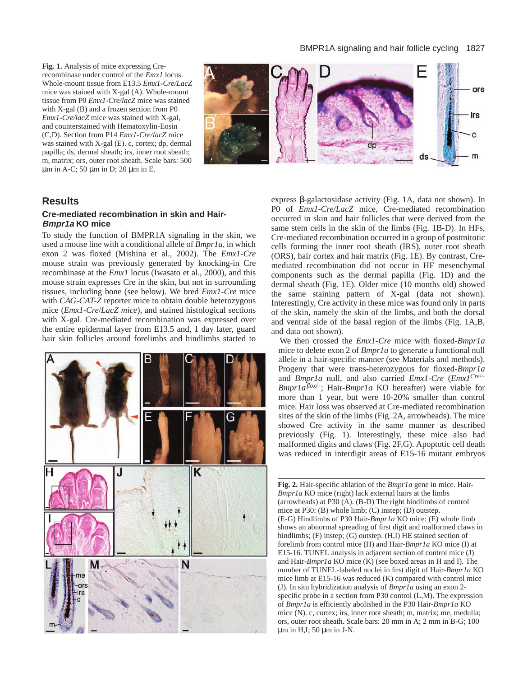**Fig. 1.** Analysis of mice expressing Crerecombinase under control of the *Emx1* locus. Whole-mount tissue from E13.5 *Emx1-Cre/LacZ* mice was stained with X-gal (A). Whole-mount tissue from P0 *Emx1-Cre/lacZ* mice was stained with X-gal (B) and a frozen section from P0 *Emx1-Cre/lacZ* mice was stained with X-gal, and counterstained with Hematoxylin-Eosin (C,D). Section from P14 *Emx1-Cre/lacZ* mice was stained with X-gal (E). c, cortex; dp, dermal papilla; ds, dermal sheath; irs, inner root sheath; m, matrix; ors, outer root sheath. Scale bars: 500 µm in A-C; 50 µm in D; 20 µm in E.



# **Results**

# **Cre-mediated recombination in skin and Hair-Bmpr1a KO mice**

To study the function of BMPR1A signaling in the skin, we used a mouse line with a conditional allele of *Bmpr1a*, in which exon 2 was floxed (Mishina et al., 2002). The *Emx1-Cre* mouse strain was previously generated by knocking-in Cre recombinase at the *Emx1* locus (Iwasato et al., 2000), and this mouse strain expresses Cre in the skin, but not in surrounding tissues, including bone (see below). We bred *Emx1-Cre* mice with *CAG-CAT-Z* reporter mice to obtain double heterozygous mice (*Emx1-Cre*/*LacZ mice*), and stained histological sections with X-gal. Cre-mediated recombination was expressed over the entire epidermal layer from E13.5 and, 1 day later, guard hair skin follicles around forelimbs and hindlimbs started to



express β-galactosidase activity (Fig. 1A, data not shown). In P0 of *Emx1-Cre/LacZ* mice, Cre-mediated recombination occurred in skin and hair follicles that were derived from the same stem cells in the skin of the limbs (Fig. 1B-D). In HFs, Cre-mediated recombination occurred in a group of postmitotic cells forming the inner root sheath (IRS), outer root sheath (ORS), hair cortex and hair matrix (Fig. 1E). By contrast, Cremediated recombination did not occur in HF mesenchymal components such as the dermal papilla (Fig. 1D) and the dermal sheath (Fig. 1E). Older mice (10 months old) showed the same staining pattern of X-gal (data not shown). Interestingly, Cre activity in these mice was found only in parts of the skin, namely the skin of the limbs, and both the dorsal and ventral side of the basal region of the limbs (Fig. 1A,B, and data not shown).

We then crossed the *Emx1-Cre* mice with floxed-*Bmpr1a* mice to delete exon 2 of *Bmpr1a* to generate a functional null allele in a hair-specific manner (see Materials and methods). Progeny that were trans-heterozygous for floxed-*Bmpr1a* and *Bmpr1a* null, and also carried *Emx1-Cre* (*Emx1Cre*/+ *Bmpr1aflox*/–; Hair-*Bmpr1a* KO hereafter) were viable for more than 1 year, but were 10-20% smaller than control mice. Hair loss was observed at Cre-mediated recombination sites of the skin of the limbs (Fig. 2A, arrowheads). The mice showed Cre activity in the same manner as described previously (Fig. 1). Interestingly, these mice also had malformed digits and claws (Fig. 2F,G). Apoptotic cell death was reduced in interdigit areas of E15-16 mutant embryos

**Fig. 2.** Hair-specific ablation of the *Bmpr1a* gene in mice. Hair-*Bmpr1a* KO mice (right) lack external hairs at the limbs (arrowheads) at P30 (A). (B-D) The right hindlimbs of control mice at P30: (B) whole limb; (C) instep; (D) outstep. (E-G) Hindlimbs of P30 Hair-*Bmpr1a* KO mice: (E) whole limb shows an abnormal spreading of first digit and malformed claws in hindlimbs; (F) instep; (G) outstep. (H,I) HE stained section of forelimb from control mice (H) and Hair-*Bmpr1a* KO mice (I) at E15-16. TUNEL analysis in adjacent section of control mice (J) and Hair-*Bmpr1a* KO mice (K) (see boxed areas in H and I). The number of TUNEL-labeled nuclei in first digit of Hair-*Bmpr1a* KO mice limb at E15-16 was reduced (K) compared with control mice (J). In situ hybridization analysis of *Bmpr1a* using an exon 2 specific probe in a section from P30 control (L,M). The expression of *Bmpr1a* is efficiently abolished in the P30 Hair-*Bmpr1a* KO mice (N). c, cortex; irs, inner root sheath; m, matrix; me, medulla; ors, outer root sheath. Scale bars: 20 mm in A; 2 mm in B-G; 100  $\mu$ m in H,I; 50  $\mu$ m in J-N.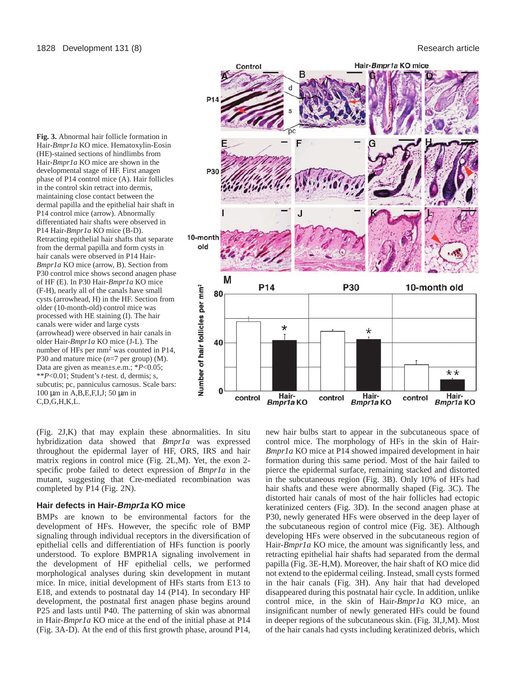



(Fig. 2J,K) that may explain these abnormalities. In situ hybridization data showed that *Bmpr1a* was expressed throughout the epidermal layer of HF, ORS, IRS and hair matrix regions in control mice (Fig. 2L,M). Yet, the exon 2 specific probe failed to detect expression of *Bmpr1a* in the mutant, suggesting that Cre-mediated recombination was completed by P14 (Fig. 2N).

# **Hair defects in Hair-Bmpr1a KO mice**

BMPs are known to be environmental factors for the development of HFs. However, the specific role of BMP signaling through individual receptors in the diversification of epithelial cells and differentiation of HFs function is poorly understood. To explore BMPR1A signaling involvement in the development of HF epithelial cells, we performed morphological analyses during skin development in mutant mice. In mice, initial development of HFs starts from E13 to E18, and extends to postnatal day 14 (P14). In secondary HF development, the postnatal first anagen phase begins around P25 and lasts until P40. The patterning of skin was abnormal in Hair-*Bmpr1a* KO mice at the end of the initial phase at P14 (Fig. 3A-D). At the end of this first growth phase, around P14,

new hair bulbs start to appear in the subcutaneous space of control mice. The morphology of HFs in the skin of Hair-*Bmpr1a* KO mice at P14 showed impaired development in hair formation during this same period. Most of the hair failed to pierce the epidermal surface, remaining stacked and distorted in the subcutaneous region (Fig. 3B). Only 10% of HFs had hair shafts and these were abnormally shaped (Fig. 3C). The distorted hair canals of most of the hair follicles had ectopic keratinized centers (Fig. 3D). In the second anagen phase at P30, newly generated HFs were observed in the deep layer of the subcutaneous region of control mice (Fig. 3E). Although developing HFs were observed in the subcutaneous region of Hair-*Bmpr1a* KO mice, the amount was significantly less, and retracting epithelial hair shafts had separated from the dermal papilla (Fig. 3E-H,M). Moreover, the hair shaft of KO mice did not extend to the epidermal ceiling. Instead, small cysts formed in the hair canals (Fig. 3H). Any hair that had developed disappeared during this postnatal hair cycle. In addition, unlike control mice, in the skin of Hair-*Bmpr1a* KO mice, an insignificant number of newly generated HFs could be found in deeper regions of the subcutaneous skin. (Fig. 3I,J,M). Most of the hair canals had cysts including keratinized debris, which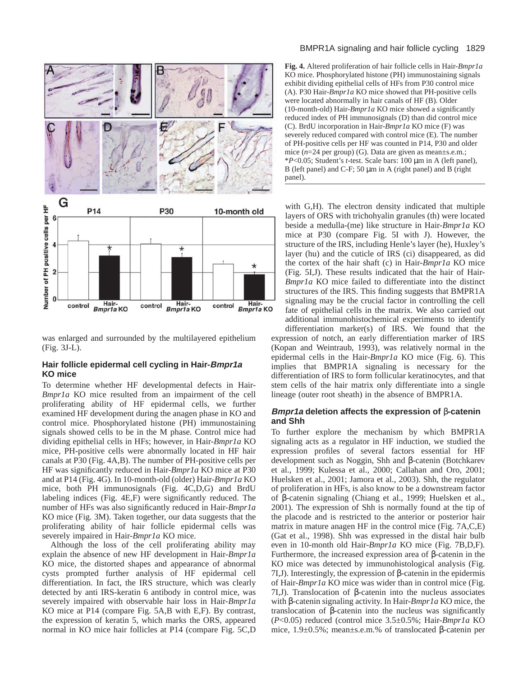

was enlarged and surrounded by the multilayered epithelium (Fig. 3J-L).

# **Hair follicle epidermal cell cycling in Hair-Bmpr1a KO mice**

To determine whether HF developmental defects in Hair-*Bmpr1a* KO mice resulted from an impairment of the cell proliferating ability of HF epidermal cells, we further examined HF development during the anagen phase in KO and control mice. Phosphorylated histone (PH) immunostaining signals showed cells to be in the M phase. Control mice had dividing epithelial cells in HFs; however, in Hair-*Bmpr1a* KO mice, PH-positive cells were abnormally located in HF hair canals at P30 (Fig. 4A,B). The number of PH-positive cells per HF was significantly reduced in Hair-*Bmpr1a* KO mice at P30 and at P14 (Fig. 4G). In 10-month-old (older) Hair-*Bmpr1a* KO mice, both PH immunosignals (Fig. 4C,D,G) and BrdU labeling indices (Fig. 4E,F) were significantly reduced. The number of HFs was also significantly reduced in Hair-*Bmpr1a* KO mice (Fig. 3M). Taken together, our data suggests that the proliferating ability of hair follicle epidermal cells was severely impaired in Hair-*Bmpr1a* KO mice.

Although the loss of the cell proliferating ability may explain the absence of new HF development in Hair-*Bmpr1a* KO mice, the distorted shapes and appearance of abnormal cysts prompted further analysis of HF epidermal cell differentiation. In fact, the IRS structure, which was clearly detected by anti IRS-keratin 6 antibody in control mice, was severely impaired with observable hair loss in Hair-*Bmpr1a* KO mice at P14 (compare Fig. 5A,B with E,F). By contrast, the expression of keratin 5, which marks the ORS, appeared normal in KO mice hair follicles at P14 (compare Fig. 5C,D

## BMPR1A signaling and hair follicle cycling 1829

**Fig. 4.** Altered proliferation of hair follicle cells in Hair-*Bmpr1a* KO mice. Phosphorylated histone (PH) immunostaining signals exhibit dividing epithelial cells of HFs from P30 control mice (A). P30 Hair-*Bmpr1a* KO mice showed that PH-positive cells were located abnormally in hair canals of HF (B). Older (10-month-old) Hair-*Bmpr1a* KO mice showed a significantly reduced index of PH immunosignals (D) than did control mice (C). BrdU incorporation in Hair-*Bmpr1a* KO mice (F) was severely reduced compared with control mice (E). The number of PH-positive cells per HF was counted in P14, P30 and older mice ( $n=24$  per group) (G). Data are given as mean±s.e.m.; \**P*<0.05; Student's *t*-test. Scale bars: 100 µm in A (left panel), B (left panel) and C-F; 50  $\mu$ m in A (right panel) and B (right panel).

with G,H). The electron density indicated that multiple layers of ORS with trichohyalin granules (th) were located beside a medulla-(me) like structure in Hair-*Bmpr1a* KO mice at P30 (compare Fig. 5I with J). However, the structure of the IRS, including Henle's layer (he), Huxley's layer (hu) and the cuticle of IRS (ci) disappeared, as did the cortex of the hair shaft (c) in Hair-*Bmpr1a* KO mice (Fig. 5I,J). These results indicated that the hair of Hair-*Bmpr1a* KO mice failed to differentiate into the distinct structures of the IRS. This finding suggests that BMPR1A signaling may be the crucial factor in controlling the cell fate of epithelial cells in the matrix. We also carried out additional immunohistochemical experiments to identify differentiation marker(s) of IRS. We found that the expression of notch, an early differentiation marker of IRS (Kopan and Weintraub, 1993), was relatively normal in the epidermal cells in the Hair-*Bmpr1a* KO mice (Fig. 6). This

implies that BMPR1A signaling is necessary for the differentiation of IRS to form follicular keratinocytes, and that stem cells of the hair matrix only differentiate into a single lineage (outer root sheath) in the absence of BMPR1A.

# **Bmpr1a deletion affects the expression of** β**-catenin and Shh**

To further explore the mechanism by which BMPR1A signaling acts as a regulator in HF induction, we studied the expression profiles of several factors essential for HF development such as Noggin, Shh and β-catenin (Botchkarev et al., 1999; Kulessa et al., 2000; Callahan and Oro, 2001; Huelsken et al., 2001; Jamora et al., 2003). Shh, the regulator of proliferation in HFs, is also know to be a downstream factor of β-catenin signaling (Chiang et al., 1999; Huelsken et al., 2001). The expression of Shh is normally found at the tip of the placode and is restricted to the anterior or posterior hair matrix in mature anagen HF in the control mice (Fig. 7A,C,E) (Gat et al., 1998). Shh was expressed in the distal hair bulb even in 10-month old Hair-*Bmpr1a* KO mice (Fig. 7B,D,F). Furthermore, the increased expression area of β-catenin in the KO mice was detected by immunohistological analysis (Fig. 7I,J). Interestingly, the expression of β-catenin in the epidermis of Hair-*Bmpr1a* KO mice was wider than in control mice (Fig. 7I,J). Translocation of β-catenin into the nucleus associates with β-catenin signaling activity. In Hair-*Bmpr1a* KO mice, the translocation of β-catenin into the nucleus was significantly (*P*<0.05) reduced (control mice 3.5±0.5%; Hair-*Bmpr1a* KO mice, 1.9±0.5%; mean±s.e.m.% of translocated β-catenin per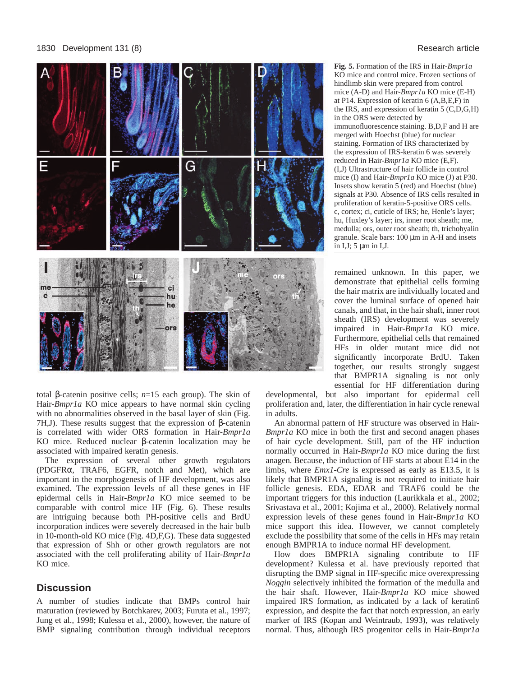

total β-catenin positive cells; *n*=15 each group). The skin of Hair-*Bmpr1a* KO mice appears to have normal skin cycling with no abnormalities observed in the basal layer of skin (Fig. 7H,J). These results suggest that the expression of β-catenin is correlated with wider ORS formation in Hair-*Bmpr1a* KO mice. Reduced nuclear β-catenin localization may be associated with impaired keratin genesis.

The expression of several other growth regulators (PDGFRα, TRAF6, EGFR, notch and Met), which are important in the morphogenesis of HF development, was also examined. The expression levels of all these genes in HF epidermal cells in Hair-*Bmpr1a* KO mice seemed to be comparable with control mice HF (Fig. 6). These results are intriguing because both PH-positive cells and BrdU incorporation indices were severely decreased in the hair bulb in 10-month-old KO mice (Fig. 4D,F,G). These data suggested that expression of Shh or other growth regulators are not associated with the cell proliferating ability of Hair-*Bmpr1a* KO mice.

# **Discussion**

A number of studies indicate that BMPs control hair maturation (reviewed by Botchkarev, 2003; Furuta et al., 1997; Jung et al., 1998; Kulessa et al., 2000), however, the nature of BMP signaling contribution through individual receptors

**Fig. 5.** Formation of the IRS in Hair-*Bmpr1a* KO mice and control mice. Frozen sections of hindlimb skin were prepared from control mice (A-D) and Hair-*Bmpr1a* KO mice (E-H) at P14. Expression of keratin 6 (A,B,E,F) in the IRS, and expression of keratin 5 (C,D,G,H) in the ORS were detected by immunofluorescence staining. B,D,F and H are merged with Hoechst (blue) for nuclear staining. Formation of IRS characterized by the expression of IRS-keratin 6 was severely reduced in Hair-*Bmpr1a* KO mice (E,F). (I,J) Ultrastructure of hair follicle in control mice (I) and Hair-*Bmpr1a* KO mice (J) at P30. Insets show keratin 5 (red) and Hoechst (blue) signals at P30. Absence of IRS cells resulted in proliferation of keratin-5-positive ORS cells. c, cortex; ci, cuticle of IRS; he, Henle's layer; hu, Huxley's layer; irs, inner root sheath; me, medulla; ors, outer root sheath; th, trichohyalin granule. Scale bars: 100 µm in A-H and insets in I, J;  $5 \mu m$  in I, J.

remained unknown. In this paper, we demonstrate that epithelial cells forming the hair matrix are individually located and cover the luminal surface of opened hair canals, and that, in the hair shaft, inner root sheath (IRS) development was severely impaired in Hair-*Bmpr1a* KO mice. Furthermore, epithelial cells that remained HFs in older mutant mice did not significantly incorporate BrdU. Taken together, our results strongly suggest that BMPR1A signaling is not only essential for HF differentiation during

developmental, but also important for epidermal cell proliferation and, later, the differentiation in hair cycle renewal in adults.

An abnormal pattern of HF structure was observed in Hair-*Bmpr1a* KO mice in both the first and second anagen phases of hair cycle development. Still, part of the HF induction normally occurred in Hair-*Bmpr1a* KO mice during the first anagen. Because, the induction of HF starts at about E14 in the limbs, where *Emx1-Cre* is expressed as early as E13.5, it is likely that BMPR1A signaling is not required to initiate hair follicle genesis. EDA, EDAR and TRAF6 could be the important triggers for this induction (Laurikkala et al., 2002; Srivastava et al., 2001; Kojima et al., 2000). Relatively normal expression levels of these genes found in Hair-*Bmpr1a* KO mice support this idea. However, we cannot completely exclude the possibility that some of the cells in HFs may retain enough BMPR1A to induce normal HF development.

How does BMPR1A signaling contribute to HF development? Kulessa et al. have previously reported that disrupting the BMP signal in HF-specific mice overexpressing *Noggin* selectively inhibited the formation of the medulla and the hair shaft. However, Hair-*Bmpr1a* KO mice showed impaired IRS formation, as indicated by a lack of keratin6 expression, and despite the fact that notch expression, an early marker of IRS (Kopan and Weintraub, 1993), was relatively normal. Thus, although IRS progenitor cells in Hair-*Bmpr1a*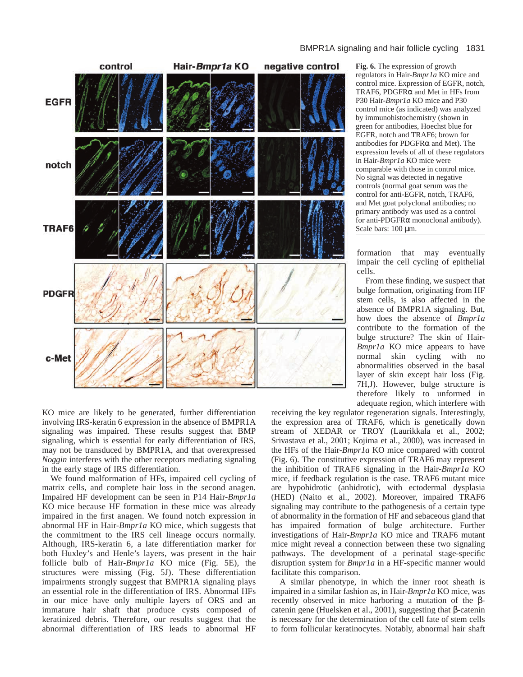

KO mice are likely to be generated, further differentiation involving IRS-keratin 6 expression in the absence of BMPR1A signaling was impaired. These results suggest that BMP signaling, which is essential for early differentiation of IRS, may not be transduced by BMPR1A, and that overexpressed *Noggin* interferes with the other receptors mediating signaling in the early stage of IRS differentiation.

We found malformation of HFs, impaired cell cycling of matrix cells, and complete hair loss in the second anagen. Impaired HF development can be seen in P14 Hair-*Bmpr1a* KO mice because HF formation in these mice was already impaired in the first anagen. We found notch expression in abnormal HF in Hair-*Bmpr1a* KO mice, which suggests that the commitment to the IRS cell lineage occurs normally. Although, IRS-keratin 6, a late differentiation marker for both Huxley's and Henle's layers, was present in the hair follicle bulb of Hair-*Bmpr1a* KO mice (Fig. 5E), the structures were missing (Fig. 5J). These differentiation impairments strongly suggest that BMPR1A signaling plays an essential role in the differentiation of IRS. Abnormal HFs in our mice have only multiple layers of ORS and an immature hair shaft that produce cysts composed of keratinized debris. Therefore, our results suggest that the abnormal differentiation of IRS leads to abnormal HF

**Fig. 6.** The expression of growth regulators in Hair-*Bmpr1a* KO mice and control mice. Expression of EGFR, notch, TRAF6, PDGFRα and Met in HFs from P30 Hair-*Bmpr1a* KO mice and P30 control mice (as indicated) was analyzed by immunohistochemistry (shown in green for antibodies, Hoechst blue for EGFR, notch and TRAF6; brown for antibodies for  $PDGFR\alpha$  and Met). The expression levels of all of these regulators in Hair-*Bmpr1a* KO mice were comparable with those in control mice. No signal was detected in negative controls (normal goat serum was the control for anti-EGFR, notch, TRAF6, and Met goat polyclonal antibodies; no primary antibody was used as a control for anti-PDGFRα monoclonal antibody). Scale bars: 100 µm.

formation that may eventually impair the cell cycling of epithelial cells.

From these finding, we suspect that bulge formation, originating from HF stem cells, is also affected in the absence of BMPR1A signaling. But, how does the absence of *Bmpr1a* contribute to the formation of the bulge structure? The skin of Hair-*Bmpr1a* KO mice appears to have normal skin cycling with no abnormalities observed in the basal layer of skin except hair loss (Fig. 7H,J). However, bulge structure is therefore likely to unformed in adequate region, which interfere with

receiving the key regulator regeneration signals. Interestingly, the expression area of TRAF6, which is genetically down stream of XEDAR or TROY (Laurikkala et al., 2002; Srivastava et al., 2001; Kojima et al., 2000), was increased in the HFs of the Hair-*Bmpr1a* KO mice compared with control (Fig. 6). The constitutive expression of TRAF6 may represent the inhibition of TRAF6 signaling in the Hair-*Bmpr1a* KO mice, if feedback regulation is the case. TRAF6 mutant mice are hypohidrotic (anhidrotic), with ectodermal dysplasia (HED) (Naito et al., 2002). Moreover, impaired TRAF6 signaling may contribute to the pathogenesis of a certain type of abnormality in the formation of HF and sebaceous gland that has impaired formation of bulge architecture. Further investigations of Hair-*Bmpr1a* KO mice and TRAF6 mutant mice might reveal a connection between these two signaling pathways. The development of a perinatal stage-specific disruption system for *Bmpr1a* in a HF-specific manner would facilitate this comparison.

A similar phenotype, in which the inner root sheath is impaired in a similar fashion as, in Hair-*Bmpr1a* KO mice, was recently observed in mice harboring a mutation of the βcatenin gene (Huelsken et al., 2001), suggesting that β-catenin is necessary for the determination of the cell fate of stem cells to form follicular keratinocytes. Notably, abnormal hair shaft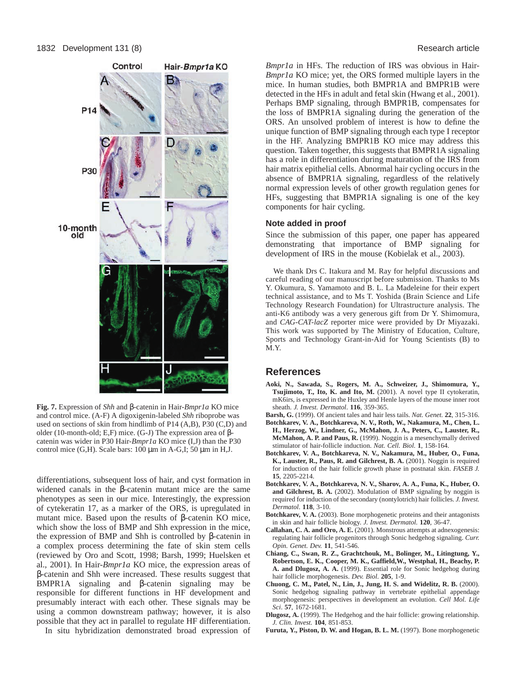

**Fig. 7.** Expression of *Shh* and β-catenin in Hair-*Bmpr1a* KO mice and control mice. (A-F) A digoxigenin-labeled *Shh* riboprobe was used on sections of skin from hindlimb of P14 (A,B), P30 (C,D) and older (10-month-old; E,F) mice. (G-J) The expression area of βcatenin was wider in P30 Hair-*Bmpr1a* KO mice (I,J) than the P30 control mice  $(G,H)$ . Scale bars: 100  $\mu$ m in A-G,I; 50  $\mu$ m in H,J.

differentiations, subsequent loss of hair, and cyst formation in widened canals in the β-catenin mutant mice are the same phenotypes as seen in our mice. Interestingly, the expression of cytekeratin 17, as a marker of the ORS, is upregulated in mutant mice. Based upon the results of β-catenin KO mice, which show the loss of BMP and Shh expression in the mice, the expression of BMP and Shh is controlled by β-catenin in a complex process determining the fate of skin stem cells (reviewed by Oro and Scott, 1998; Barsh, 1999; Huelsken et al., 2001). In Hair-*Bmpr1a* KO mice, the expression areas of β-catenin and Shh were increased. These results suggest that BMPR1A signaling and β-catenin signaling may be responsible for different functions in HF development and presumably interact with each other. These signals may be using a common downstream pathway; however, it is also possible that they act in parallel to regulate HF differentiation.

In situ hybridization demonstrated broad expression of

*Bmpr1a* in HFs. The reduction of IRS was obvious in Hair-*Bmpr1a* KO mice; yet, the ORS formed multiple layers in the mice. In human studies, both BMPR1A and BMPR1B were detected in the HFs in adult and fetal skin (Hwang et al., 2001). Perhaps BMP signaling, through BMPR1B, compensates for the loss of BMPR1A signaling during the generation of the ORS. An unsolved problem of interest is how to define the unique function of BMP signaling through each type I receptor in the HF. Analyzing BMPR1B KO mice may address this question. Taken together, this suggests that BMPR1A signaling has a role in differentiation during maturation of the IRS from hair matrix epithelial cells. Abnormal hair cycling occurs in the absence of BMPR1A signaling, regardless of the relatively normal expression levels of other growth regulation genes for HFs, suggesting that BMPR1A signaling is one of the key components for hair cycling.

#### **Note added in proof**

Since the submission of this paper, one paper has appeared demonstrating that importance of BMP signaling for development of IRS in the mouse (Kobielak et al., 2003).

We thank Drs C. Itakura and M. Ray for helpful discussions and careful reading of our manuscript before submission. Thanks to Ms Y. Okumura, S. Yamamoto and B. L. La Madeleine for their expert technical assistance, and to Ms T. Yoshida (Brain Science and Life Technology Research Foundation) for Ultrastructure analysis. The anti-K6 antibody was a very generous gift from Dr Y. Shimomura, and *CAG-CAT-lacZ* reporter mice were provided by Dr Miyazaki. This work was supported by The Ministry of Education, Culture, Sports and Technology Grant-in-Aid for Young Scientists (B) to M.Y.

# **References**

- **Aoki, N., Sawada, S., Rogers, M. A., Schweizer, J., Shimomura, Y., Tsujimoto, T., Ito, K. and Ito, M.** (2001). A novel type II cytokeratin, mK6irs, is expressed in the Huxley and Henle layers of the mouse inner root sheath. *J. Invest. Dermatol*. **116**, 359-365.
- **Barsh, G.** (1999). Of ancient tales and hair less tails. *Nat. Genet.* **22**, 315-316. **Botchkarev, V. A., Botchkareva, N. V., Roth, W., Nakamura, M., Chen, L.**
- **H., Herzog, W., Lindner, G., McMahon, J. A., Peters, C., Lauster, R., McMahon, A. P. and Paus, R.** (1999). Noggin is a mesenchymally derived stimulator of hair-follicle induction. *Nat. Cell. Biol.* **1**, 158-164.
- **Botchkarev, V. A., Botchkareva, N. V., Nakamura, M., Huber, O., Funa,** K., Lauster, R., Paus, R. and Gilchrest, B. A. (2001). Noggin is required for induction of the hair follicle growth phase in postnatal skin. *FASEB J.* **15**, 2205-2214.
- **Botchkarev, V. A., Botchkareva, N. V., Sharov, A. A., Funa, K., Huber, O.** and Gilchrest, B. A. (2002). Modulation of BMP signaling by noggin is required for induction of the secondary (nontylotrich) hair follicles. *J. Invest. Dermatol*. **118**, 3-10.
- **Botchkarev, V. A.** (2003). Bone morphogenetic proteins and their antagonists in skin and hair follicle biology. *J. Invest. Dermatol.* **120**, 36-47.
- **Callahan, C. A. and Oro, A. E.** (2001). Monstrous attempts at adnexogenesis: regulating hair follicle progenitors through Sonic hedgehog signaling. *Curr. Opin. Genet. Dev.* **11**, 541-546.
- **Chiang, C., Swan, R. Z., Grachtchouk, M., Bolinger, M., Litingtung, Y., Robertson, E. K., Cooper, M. K., Gaffield,W., Westphal, H., Beachy, P. A. and Dlugosz, A. A.** (1999). Essential role for Sonic hedgehog during hair follicle morphogenesis. *Dev. Biol*. **205**, 1-9.
- **Chuong, C. M., Patel, N., Lin, J., Jung, H. S. and Widelitz, R. B.** (2000). Sonic hedgehog signaling pathway in vertebrate epithelial appendage morphogenesis: perspectives in development an evolution. *Cell Mol. Life Sci*. **57**, 1672-1681.
- **Dlugosz, A.** (1999). The Hedgehog and the hair follicle: growing relationship. *J. Clin. Invest.* **104**, 851-853.
- Furuta, Y., Piston, D. W. and Hogan, B. L. M. (1997). Bone morphogenetic